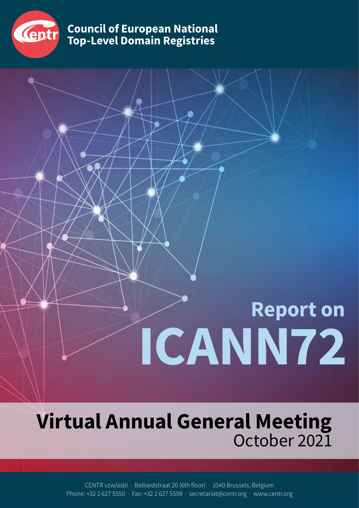

**Council of European National Top-Level Domain Registries**

# **Report on ICANN72**

## **Virtual Annual General Meeting** October 2021

CENTR vzw/asbl · Belliardstraat 20 (6th floor) · 1040 Brussels, Belgium Phone: +32 2 627 5550 · Fax: +32 2 627 5559 · secretariat@centr.org · www.centr.org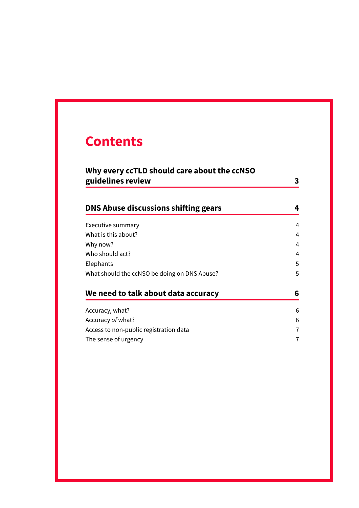### **Contents**

| Why every ccTLD should care about the ccNSO<br>guidelines review | 3 |
|------------------------------------------------------------------|---|
| DNS Abuse discussions shifting gears                             | 4 |
| Executive summary                                                | 4 |
| What is this about?                                              | 4 |
| Why now?                                                         | 4 |
| Who should act?                                                  | 4 |
| Elephants                                                        | 5 |
| What should the ccNSO be doing on DNS Abuse?                     | 5 |
| We need to talk about data accuracy                              | 6 |
| Accuracy, what?                                                  | 6 |
| Accuracy of what?                                                | 6 |
| Access to non-public registration data                           | 7 |
| The sense of urgency                                             | 7 |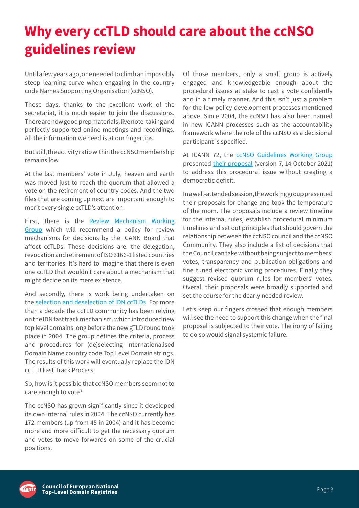## <span id="page-2-0"></span>**Why every ccTLD should care about the ccNSO guidelines review**

Until a few years ago, one needed to climb an impossibly steep learning curve when engaging in the country code Names Supporting Organisation (ccNSO).

These days, thanks to the excellent work of the secretariat, it is much easier to join the discussions. There are now good prep materials, live note-taking and perfectly supported online meetings and recordings. All the information we need is at our fingertips.

But still, the activity ratio within the ccNSO membership remains low.

At the last members' vote in July, heaven and earth was moved just to reach the quorum that allowed a vote on the retirement of country codes. And the two files that are coming up next are important enough to merit every single ccTLD's attention.

First, there is the [Review Mechanism Working](https://ccnso.icann.org/en/workinggroups/pdp-review-mechanism.htm) [Group](https://ccnso.icann.org/en/workinggroups/pdp-review-mechanism.htm)  which will recommend a policy for review mechanisms for decisions by the ICANN Board that affect ccTLDs. These decisions are: the delegation, revocation and retirement of ISO 3166-1 listed countries and territories. It's hard to imagine that there is even one ccTLD that wouldn't care about a mechanism that might decide on its mere existence.

And secondly, there is work being undertaken on the [selection and deselection of IDN ccTLDs](https://ccnso.icann.org/en/workinggroups/idn-cctld-strings.htm). For more than a decade the ccTLD community has been relying on the IDN fast track mechanism, which introduced new top level domains long before the new gTLD round took place in 2004. The group defines the criteria, process and procedures for (de)selecting Internationalised Domain Name country code Top Level Domain strings. The results of this work will eventually replace the IDN ccTLD Fast Track Process.

So, how is it possible that ccNSO members seem not to care enough to vote?

The ccNSO has grown significantly since it developed its own internal rules in 2004. The ccNSO currently has 172 members (up from 45 in 2004) and it has become more and more difficult to get the necessary quorum and votes to move forwards on some of the crucial positions.

Of those members, only a small group is actively engaged and knowledgeable enough about the procedural issues at stake to cast a vote confidently and in a timely manner. And this isn't just a problem for the few policy development processes mentioned above. Since 2004, the ccNSO has also been named in new ICANN processes such as the accountability framework where the role of the ccNSO as a decisional participant is specified.

At ICANN 72, the ccNSO Guidelines Working Group presented [their proposal](https://cdn.filestackcontent.com/content=t:attachment,f:%22Governance%20Session%20-%20ICANN%2072.pdf%22/Q8FlVAITUmdbNepu78kc) (version 7, 14 October 2021) to address this procedural issue without creating a democratic deficit.

In a well-attended session, the working group presented their proposals for change and took the temperature of the room. The proposals include a review timeline for the internal rules, establish procedural minimum timelines and set out principles that should govern the relationship between the ccNSO council and the ccNSO Community. They also include a list of decisions that the Council can take without being subject to members' votes, transparency and publication obligations and fine tuned electronic voting procedures. Finally they suggest revised quorum rules for members' votes. Overall their proposals were broadly supported and set the course for the dearly needed review.

Let's keep our fingers crossed that enough members will see the need to support this change when the final proposal is subjected to their vote. The irony of failing to do so would signal systemic failure.

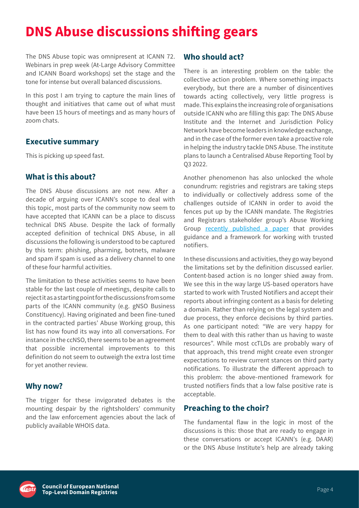## <span id="page-3-0"></span>**DNS Abuse discussions shifting gears**

The DNS Abuse topic was omnipresent at ICANN 72. Webinars in prep week (At-Large Advisory Committee and ICANN Board workshops) set the stage and the tone for intense but overall balanced discussions.

In this post I am trying to capture the main lines of thought and initiatives that came out of what must have been 15 hours of meetings and as many hours of zoom chats.

#### **Executive summary**

This is picking up speed fast.

#### **What is this about?**

The DNS Abuse discussions are not new. After a decade of arguing over ICANN's scope to deal with this topic, most parts of the community now seem to have accepted that ICANN can be a place to discuss technical DNS Abuse. Despite the lack of formally accepted definition of technical DNS Abuse, in all discussions the following is understood to be captured by this term: phishing, pharming, botnets, malware and spam if spam is used as a delivery channel to one of these four harmful activities.

The limitation to these activities seems to have been stable for the last couple of meetings, despite calls to reject it as a starting point for the discussions from some parts of the ICANN community (e.g. gNSO Business Constituency). Having originated and been fine-tuned in the contracted parties' Abuse Working group, this list has now found its way into all conversations. For instance in the ccNSO, there seems to be an agreement that possible incremental improvements to this definition do not seem to outweigh the extra lost time for yet another review.

#### **Why now?**

The trigger for these invigorated debates is the mounting despair by the rightsholders' community and the law enforcement agencies about the lack of publicly available WHOIS data.

#### **Who should act?**

There is an interesting problem on the table: the collective action problem. Where something impacts everybody, but there are a number of disincentives towards acting collectively, very little progress is made. This explains the increasing role of organisations outside ICANN who are filling this gap: The DNS Abuse Institute and the Internet and Jurisdiction Policy Network have become leaders in knowledge exchange, and in the case of the former even take a proactive role in helping the industry tackle DNS Abuse. The institute plans to launch a Centralised Abuse Reporting Tool by Q3 2022.

Another phenomenon has also unlocked the whole conundrum: registries and registrars are taking steps to individually or collectively address some of the challenges outside of ICANN in order to avoid the fences put up by the ICANN mandate. The Registries and Registrars stakeholder group's Abuse Working Group [recently published a paper](https://www.rysg.info/wp-content/uploads/archive/Final-CPH-Notifier-Framework-6-October-2021.pdf) that provides guidance and a framework for working with trusted notifiers.

In these discussions and activities, they go way beyond the limitations set by the definition discussed earlier. Content-based action is no longer shied away from. We see this in the way large US-based operators have started to work with Trusted Notifiers and accept their reports about infringing content as a basis for deleting a domain. Rather than relying on the legal system and due process, they enforce decisions by third parties. As one participant noted: "We are very happy for them to deal with this rather than us having to waste resources". While most ccTLDs are probably wary of that approach, this trend might create even stronger expectations to review current stances on third party notifications. To illustrate the different approach to this problem: the above-mentioned framework for trusted notifiers finds that a low false positive rate is acceptable.

#### **Preaching to the choir?**

The fundamental flaw in the logic in most of the discussions is this: those that are ready to engage in these conversations or accept ICANN's (e.g. DAAR) or the DNS Abuse Institute's help are already taking

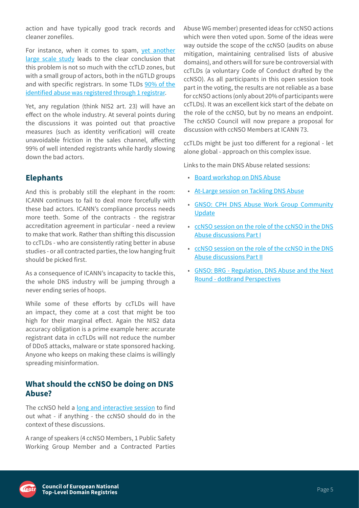<span id="page-4-0"></span>action and have typically good track records and cleaner zonefiles.

For instance, when it comes to spam, [yet another](https://www.interisle.net/PhishingLandscape2021.html)  [large scale study](https://www.interisle.net/PhishingLandscape2021.html) leads to the clear conclusion that this problem is not so much with the ccTLD zones, but with a small group of actors, both in the nGTLD groups and with specific registrars. In some TLDs [90% of the](https://www.interisle.net/PhishingLandscape2021.html)  [identified abuse was registered through 1 registrar.](https://www.interisle.net/PhishingLandscape2021.html)

Yet, any regulation (think NIS2 art. 23) will have an effect on the whole industry. At several points during the discussions it was pointed out that proactive measures (such as identity verification) will create unavoidable friction in the sales channel, affecting 99% of well intended registrants while hardly slowing down the bad actors.

#### **Elephants**

And this is probably still the elephant in the room: ICANN continues to fail to deal more forcefully with these bad actors. ICANN's compliance process needs more teeth. Some of the contracts - the registrar accreditation agreement in particular - need a review to make that work. Rather than shifting this discussion to ccTLDs - who are consistently rating better in abuse studies - or all contracted parties, the low hanging fruit should be picked first.

As a consequence of ICANN's incapacity to tackle this, the whole DNS industry will be jumping through a never ending series of hoops.

While some of these efforts by ccTLDs will have an impact, they come at a cost that might be too high for their marginal effect. Again the NIS2 data accuracy obligation is a prime example here: accurate registrant data in ccTLDs will not reduce the number of DDoS attacks, malware or state sponsored hacking. Anyone who keeps on making these claims is willingly spreading misinformation.

#### **What should the ccNSO be doing on DNS Abuse?**

The ccNSO held a [long and interactive session](https://72.schedule.icann.org/meetings/GDebBq5NbTCHRBvCq) to find out what - if anything - the ccNSO should do in the context of these discussions.

A range of speakers (4 ccNSO Members, 1 Public Safety Working Group Member and a Contracted Parties

Abuse WG member) presented ideas for ccNSO actions which were then voted upon. Some of the ideas were way outside the scope of the ccNSO (audits on abuse mitigation, maintaining centralised lists of abusive domains), and others will for sure be controversial with ccTLDs (a voluntary Code of Conduct drafted by the ccNSO). As all participants in this open session took part in the voting, the results are not reliable as a base for ccNSO actions (only about 20% of participants were ccTLDs). It was an excellent kick start of the debate on the role of the ccNSO, but by no means an endpoint. The ccNSO Council will now prepare a proposal for discussion with ccNSO Members at ICANN 73.

ccTLDs might be just too different for a regional - let alone global - approach on this complex issue.

Links to the main DNS Abuse related sessions:

- [Board workshop on DNS Abuse](https://icann.zoom.us/rec/play/FHbSFHSCV6_u-xE5PlPckn3aVb2keYBmy3to9-MSKlggmdSG2zmYcuDIwWC0pgrnVKHspEciGj2ObHhg.6PfuuqUBB1MDnW5D?startTime=1634918385000&_x_zm_rtaid=jAVquAOpRii-Ob9z-g35uQ.1635337494769.18ae6835c5c96095968d9ef27fedbac6&_x_zm_rhtaid=838)
- [At-Large session on Tackling DNS Abuse](https://icann.zoom.us/rec/play/rgazg3GPfWBkQG2soNtbRgrckCtN2IjNKBzuKPCbkOa3xfl1cKIaXwVi2I81QFYm5O7r9zvjnL29tIYh.-g2-WS1qBOVfGhgK?continueMode=true&_x_zm_rtaid=3xhbTJd4R9iH7RMGBQ-zpg.1635493275244.afa63c870fa67ecad0f55f714a13c9c9&_x_zm_rhtaid=533)
- [GNSO: CPH DNS Abuse Work Group Community](https://72.schedule.icann.org/meetings/qfwJq6yvgrTHduqRJ)  [Update](https://72.schedule.icann.org/meetings/qfwJq6yvgrTHduqRJ)
- [ccNSO session on the role of the ccNSO in the DNS](https://72.schedule.icann.org/meetings/GDebBq5NbTCHRBvCq)  [Abuse discussions Part I](https://72.schedule.icann.org/meetings/GDebBq5NbTCHRBvCq)
- [ccNSO session on the role of the ccNSO in the DNS](https://72.schedule.icann.org/meetings/HgtjQCd4D2wKhHfyv)  [Abuse discussions Part II](https://72.schedule.icann.org/meetings/HgtjQCd4D2wKhHfyv)
- [GNSO: BRG Regulation, DNS Abuse and the Next](https://72.schedule.icann.org/meetings/dKeTXpfbZJXzECHHz)  [Round - dotBrand Perspectives](https://72.schedule.icann.org/meetings/dKeTXpfbZJXzECHHz)

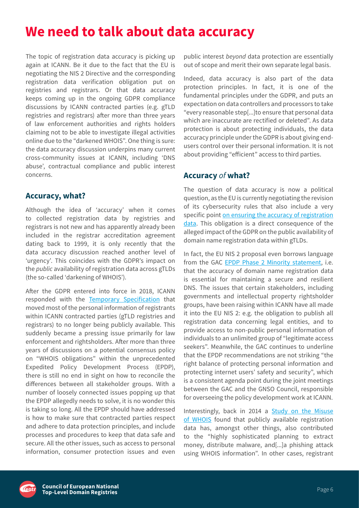## <span id="page-5-0"></span>**We need to talk about data accuracy**

The topic of registration data accuracy is picking up again at ICANN. Be it due to the fact that the EU is negotiating the NIS 2 Directive and the corresponding registration data verification obligation put on registries and registrars. Or that data accuracy keeps coming up in the ongoing GDPR compliance discussions by ICANN contracted parties (e.g. gTLD registries and registrars) after more than three years of law enforcement authorities and rights holders claiming not to be able to investigate illegal activities online due to the "darkened WHOIS". One thing is sure: the data accuracy discussion underpins many current cross-community issues at ICANN, including 'DNS abuse', contractual compliance and public interest concerns.

#### **Accuracy, what?**

Although the idea of 'accuracy' when it comes to collected registration data by registries and registrars is not new and has apparently already been included in the registrar accreditation agreement dating back to 1999, it is only recently that the data accuracy discussion reached another level of 'urgency'. This coincides with the GDPR's impact on the *public* availability of registration data across gTLDs (the so-called 'darkening of WHOIS').

After the GDPR entered into force in 2018, ICANN responded with the [Temporary Specification](https://www.icann.org/resources/pages/gtld-registration-data-specs-en) that moved most of the personal information of registrants within ICANN contracted parties (gTLD registries and registrars) to no longer being publicly available. This suddenly became a pressing issue primarily for law enforcement and rightsholders. After more than three years of discussions on a potential consensus policy on "WHOIS obligations" within the unprecedented Expedited Policy Development Process (EPDP), there is still no end in sight on how to reconcile the differences between all stakeholder groups. With a number of loosely connected issues popping up that the EPDP allegedly needs to solve, it is no wonder this is taking so long. All the EPDP should have addressed is how to make sure that contracted parties respect and adhere to data protection principles, and include processes and procedures to keep that data safe and secure. All the other issues, such as access to personal information, consumer protection issues and even

public interest *beyond* data protection are essentially out of scope and merit their own separate legal basis.

Indeed, data accuracy is also part of the data protection principles. In fact, it is one of the fundamental principles under the GDPR, and puts an expectation on data controllers and processors to take "every reasonable step[...]to ensure that personal data which are inaccurate are rectified or deleted". As data protection is about protecting individuals, the data accuracy principle under the GDPR is about giving endusers control over their personal information. It is not about providing "efficient" access to third parties.

#### **Accuracy** *of* **what?**

The question of data accuracy is now a political question, as the EU is currently negotiating the revision of its cybersecurity rules that also include a very specific point [on ensuring the accuracy of registration](https://centr.org/news/blog/nis2-costs.html)  [data.](https://centr.org/news/blog/nis2-costs.html) This obligation is a direct consequence of the alleged impact of the GDPR on the public availability of domain name registration data within gTLDs.

In fact, the EU NIS 2 proposal even borrows language from the GAC [EPDP Phase 2 Minority statement,](https://mm.icann.org/pipermail/gnso-epdp-team/attachments/20200824/aeeab8dd/gac-minority-statement-epdp-phase2-24aug20-0001.pdf) i.e. that the accuracy of domain name registration data is essential for maintaining a secure and resilient DNS. The issues that certain stakeholders, including governments and intellectual property rightsholder groups, have been raising within ICANN have all made it into the EU NIS 2: e.g. the obligation to publish all registration data concerning legal entities, and to provide access to non-public personal information of individuals to an unlimited group of "legitimate access seekers". Meanwhile, the GAC continues to underline that the EPDP recommendations are not striking "the right balance of protecting personal information and protecting internet users' safety and security", which is a consistent agenda point during the joint meetings between the GAC and the GNSO Council, responsible for overseeing the policy development work at ICANN.

Interestingly, back in 2014 a **Study on the Misuse** [of WHOIS](https://whois.icann.org/sites/default/files/files/misuse-study-final-13mar14-en.pdf)  found that publicly available registration data has, amongst other things, also contributed to the "highly sophisticated planning to extract money, distribute malware, and[...]a phishing attack using WHOIS information". In other cases, registrant

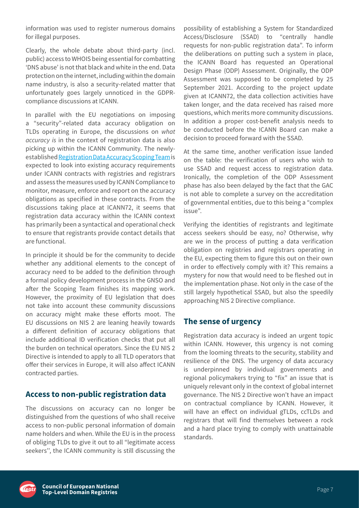<span id="page-6-0"></span>information was used to register numerous domains for illegal purposes.

Clearly, the whole debate about third-party (incl. public) access to WHOIS being essential for combatting 'DNS abuse' is not that black and white in the end. Data protection on the internet, including within the domain name industry, is also a security-related matter that unfortunately goes largely unnoticed in the GDPRcompliance discussions at ICANN.

In parallel with the EU negotiations on imposing a "security"-related data accuracy obligation on TLDs operating in Europe, the discussions on *what accuracy is* in the context of registration data is also picking up within the ICANN Community. The newlyestablished [Registration Data Accuracy Scoping Team](https://community.icann.org/display/AST/Registration+Data+Accuracy+-+Scoping+Team) is expected to look into existing accuracy requirements under ICANN contracts with registries and registrars and assess the measures used by ICANN Compliance to monitor, measure, enforce and report on the accuracy obligations as specified in these contracts. From the discussions taking place at ICANN72, it seems that registration data accuracy within the ICANN context has primarily been a syntactical and operational check to ensure that registrants provide contact details that are functional.

In principle it should be for the community to decide whether any additional elements to the concept of accuracy need to be added to the definition through a formal policy development process in the GNSO and after the Scoping Team finishes its mapping work. However, the proximity of EU legislation that does not take into account these community discussions on accuracy might make these efforts moot. The EU discussions on NIS 2 are leaning heavily towards a different definition of accuracy obligations that include additional ID verification checks that put all the burden on technical operators. Since the EU NIS 2 Directive is intended to apply to all TLD operators that offer their services in Europe, it will also affect ICANN contracted parties.

#### **Access to non-public registration data**

The discussions on accuracy can no longer be distinguished from the questions of who shall receive access to non-public personal information of domain name holders and when. While the EU is in the process of obliging TLDs to give it out to all "legitimate access seekers'', the ICANN community is still discussing the

possibility of establishing a System for Standardized Access/Disclosure (SSAD) to "centrally handle requests for non-public registration data". To inform the deliberations on putting such a system in place, the ICANN Board has requested an Operational Design Phase (ODP) Assessment. Originally, the ODP Assessment was supposed to be completed by 25 September 2021. According to the project update given at ICANN72, the data collection activities have taken longer, and the data received has raised more questions, which merits more community discussions. In addition a proper cost-benefit analysis needs to be conducted before the ICANN Board can make a decision to proceed forward with the SSAD.

At the same time, another verification issue landed on the table: the verification of users who wish to use SSAD and request access to registration data. Ironically, the completion of the ODP Assessment phase has also been delayed by the fact that the GAC is not able to complete a survey on the accreditation of governmental entities, due to this being a "complex issue".

Verifying the identities of registrants and legitimate access seekers should be easy, no? Otherwise, why are we in the process of putting a data verification obligation on registries and registrars operating in the EU, expecting them to figure this out on their own in order to effectively comply with it? This remains a mystery for now that would need to be fleshed out in the implementation phase. Not only in the case of the still largely hypothetical SSAD, but also the speedily approaching NIS 2 Directive compliance.

#### **The sense of urgency**

Registration data accuracy is indeed an urgent topic within ICANN. However, this urgency is not coming from the looming threats to the security, stability and resilience of the DNS. The urgency of data accuracy is underpinned by individual governments and regional policymakers trying to "fix" an issue that is uniquely relevant only in the context of global internet governance. The NIS 2 Directive won't have an impact on contractual compliance by ICANN. However, it will have an effect on individual gTLDs, ccTLDs and registrars that will find themselves between a rock and a hard place trying to comply with unattainable standards.